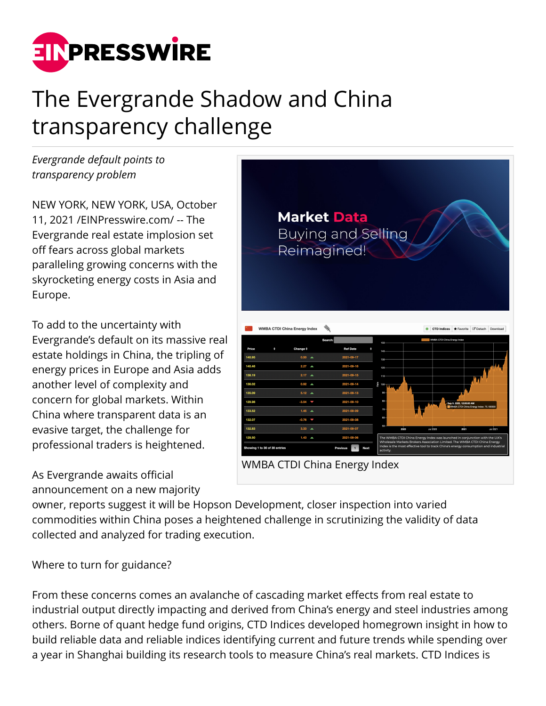

# The Evergrande Shadow and China transparency challenge

*Evergrande default points to transparency problem* 

NEW YORK, NEW YORK, USA, October 11, 2021 /[EINPresswire.com/](http://www.einpresswire.com) -- The Evergrande real estate implosion set off fears across global markets paralleling growing concerns with the skyrocketing energy costs in Asia and Europe.

To add to the uncertainty with Evergrande's default on its massive real estate holdings in China, the tripling of energy prices in Europe and Asia adds another level of complexity and concern for global markets. Within China where transparent data is an evasive target, the challenge for professional traders is heightened.

As Evergrande awaits official announcement on a new majority



owner, reports suggest it will be Hopson Development, closer inspection into varied commodities within China poses a heightened challenge in scrutinizing the validity of data collected and analyzed for trading execution.

Where to turn for guidance?

From these concerns comes an avalanche of cascading market effects from real estate to industrial output directly impacting and derived from China's energy and steel industries among others. Borne of quant hedge fund origins, CTD Indices developed homegrown insight in how to build reliable data and reliable indices identifying current and future trends while spending over a year in Shanghai building its research tools to measure China's real markets. CTD Indices is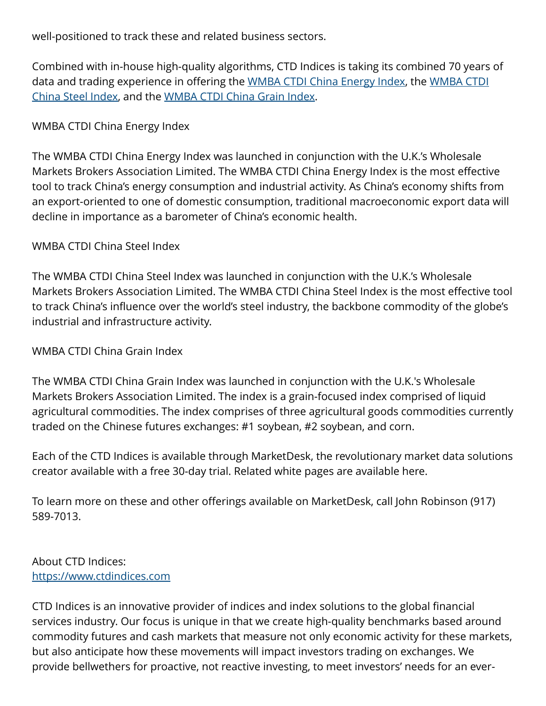well-positioned to track these and related business sectors.

Combined with in-house high-quality algorithms, CTD Indices is taking its combined 70 years of data and trading experience in offering the [WMBA CTDI China Energy Index](https://www.marketdesk.com/ctdindices/), the [WMBA CTDI](https://www.marketdesk.com/ctdindices/) [China Steel Index](https://www.marketdesk.com/ctdindices/), and the [WMBA CTDI China Grain Index](https://www.marketdesk.com/ctdindices/).

## WMBA CTDI China Energy Index

The WMBA CTDI China Energy Index was launched in conjunction with the U.K.'s Wholesale Markets Brokers Association Limited. The WMBA CTDI China Energy Index is the most effective tool to track China's energy consumption and industrial activity. As China's economy shifts from an export-oriented to one of domestic consumption, traditional macroeconomic export data will decline in importance as a barometer of China's economic health.

#### WMBA CTDI China Steel Index

The WMBA CTDI China Steel Index was launched in conjunction with the U.K.'s Wholesale Markets Brokers Association Limited. The WMBA CTDI China Steel Index is the most effective tool to track China's influence over the world's steel industry, the backbone commodity of the globe's industrial and infrastructure activity.

#### WMBA CTDI China Grain Index

The WMBA CTDI China Grain Index was launched in conjunction with the U.K.'s Wholesale Markets Brokers Association Limited. The index is a grain-focused index comprised of liquid agricultural commodities. The index comprises of three agricultural goods commodities currently traded on the Chinese futures exchanges: #1 soybean, #2 soybean, and corn.

Each of the CTD Indices is available through MarketDesk, the revolutionary market data solutions creator available with a free 30-day trial. Related white pages are available here.

To learn more on these and other offerings available on MarketDesk, call John Robinson (917) 589-7013.

## About CTD Indices: <https://www.ctdindices.com>

CTD Indices is an innovative provider of indices and index solutions to the global financial services industry. Our focus is unique in that we create high-quality benchmarks based around commodity futures and cash markets that measure not only economic activity for these markets, but also anticipate how these movements will impact investors trading on exchanges. We provide bellwethers for proactive, not reactive investing, to meet investors' needs for an ever